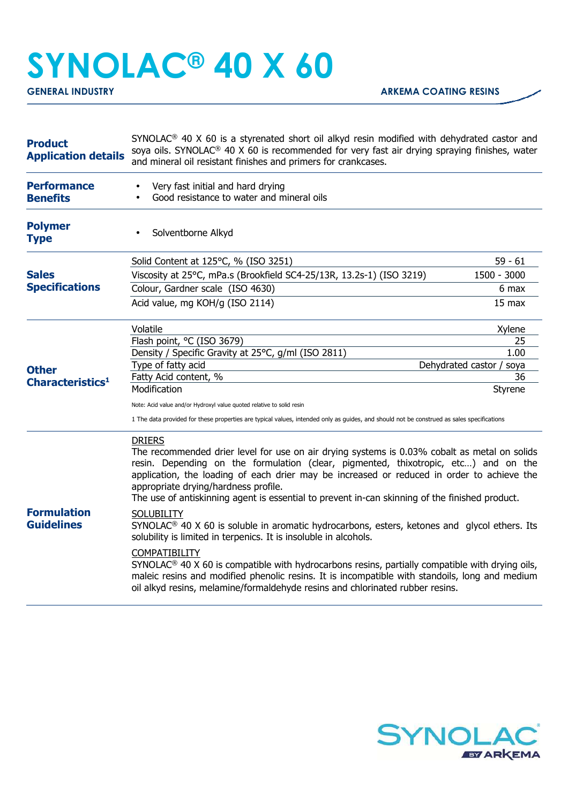## **SYNOLAC® 40 X 60**

| <b>Product</b><br><b>Application details</b> | SYNOLAC <sup>®</sup> 40 X 60 is a styrenated short oil alkyd resin modified with dehydrated castor and<br>soya oils. SYNOLAC <sup>®</sup> 40 X 60 is recommended for very fast air drying spraying finishes, water<br>and mineral oil resistant finishes and primers for crankcases.                                                                                                                                                                                                                                                                                                                                                                                                                                                                                                                                                                                                                                                                                 |                  |  |
|----------------------------------------------|----------------------------------------------------------------------------------------------------------------------------------------------------------------------------------------------------------------------------------------------------------------------------------------------------------------------------------------------------------------------------------------------------------------------------------------------------------------------------------------------------------------------------------------------------------------------------------------------------------------------------------------------------------------------------------------------------------------------------------------------------------------------------------------------------------------------------------------------------------------------------------------------------------------------------------------------------------------------|------------------|--|
| <b>Performance</b><br><b>Benefits</b>        | Very fast initial and hard drying<br>Good resistance to water and mineral oils<br>$\bullet$                                                                                                                                                                                                                                                                                                                                                                                                                                                                                                                                                                                                                                                                                                                                                                                                                                                                          |                  |  |
| <b>Polymer</b><br><b>Type</b>                | Solventborne Alkyd                                                                                                                                                                                                                                                                                                                                                                                                                                                                                                                                                                                                                                                                                                                                                                                                                                                                                                                                                   |                  |  |
| <b>Sales</b><br><b>Specifications</b>        | Solid Content at 125°C, % (ISO 3251)                                                                                                                                                                                                                                                                                                                                                                                                                                                                                                                                                                                                                                                                                                                                                                                                                                                                                                                                 | $59 - 61$        |  |
|                                              | Viscosity at 25°C, mPa.s (Brookfield SC4-25/13R, 13.2s-1) (ISO 3219)                                                                                                                                                                                                                                                                                                                                                                                                                                                                                                                                                                                                                                                                                                                                                                                                                                                                                                 | 1500 - 3000      |  |
|                                              | Colour, Gardner scale (ISO 4630)                                                                                                                                                                                                                                                                                                                                                                                                                                                                                                                                                                                                                                                                                                                                                                                                                                                                                                                                     | 6 max            |  |
|                                              | Acid value, mg KOH/g (ISO 2114)                                                                                                                                                                                                                                                                                                                                                                                                                                                                                                                                                                                                                                                                                                                                                                                                                                                                                                                                      | $15 \text{ max}$ |  |
|                                              | Volatile                                                                                                                                                                                                                                                                                                                                                                                                                                                                                                                                                                                                                                                                                                                                                                                                                                                                                                                                                             | Xylene           |  |
|                                              | Flash point, °C (ISO 3679)                                                                                                                                                                                                                                                                                                                                                                                                                                                                                                                                                                                                                                                                                                                                                                                                                                                                                                                                           | 25               |  |
|                                              | Density / Specific Gravity at 25°C, g/ml (ISO 2811)                                                                                                                                                                                                                                                                                                                                                                                                                                                                                                                                                                                                                                                                                                                                                                                                                                                                                                                  | 1.00             |  |
| <b>Other</b>                                 | Type of fatty acid<br>Dehydrated castor / soya                                                                                                                                                                                                                                                                                                                                                                                                                                                                                                                                                                                                                                                                                                                                                                                                                                                                                                                       |                  |  |
| Characteristics <sup>1</sup>                 | Fatty Acid content, %<br>Modification                                                                                                                                                                                                                                                                                                                                                                                                                                                                                                                                                                                                                                                                                                                                                                                                                                                                                                                                | 36<br>Styrene    |  |
|                                              |                                                                                                                                                                                                                                                                                                                                                                                                                                                                                                                                                                                                                                                                                                                                                                                                                                                                                                                                                                      |                  |  |
|                                              | Note: Acid value and/or Hydroxyl value quoted relative to solid resin<br>1 The data provided for these properties are typical values, intended only as guides, and should not be construed as sales specifications                                                                                                                                                                                                                                                                                                                                                                                                                                                                                                                                                                                                                                                                                                                                                   |                  |  |
| <b>Formulation</b><br><b>Guidelines</b>      | <b>DRIERS</b><br>The recommended drier level for use on air drying systems is 0.03% cobalt as metal on solids<br>resin. Depending on the formulation (clear, pigmented, thixotropic, etc) and on the<br>application, the loading of each drier may be increased or reduced in order to achieve the<br>appropriate drying/hardness profile.<br>The use of antiskinning agent is essential to prevent in-can skinning of the finished product.<br><b>SOLUBILITY</b><br>SYNOLAC <sup>®</sup> 40 X 60 is soluble in aromatic hydrocarbons, esters, ketones and glycol ethers. Its<br>solubility is limited in terpenics. It is insoluble in alcohols.<br>COMPATIBILITY<br>SYNOLAC <sup>®</sup> 40 X 60 is compatible with hydrocarbons resins, partially compatible with drying oils,<br>maleic resins and modified phenolic resins. It is incompatible with standoils, long and medium<br>oil alkyd resins, melamine/formaldehyde resins and chlorinated rubber resins. |                  |  |